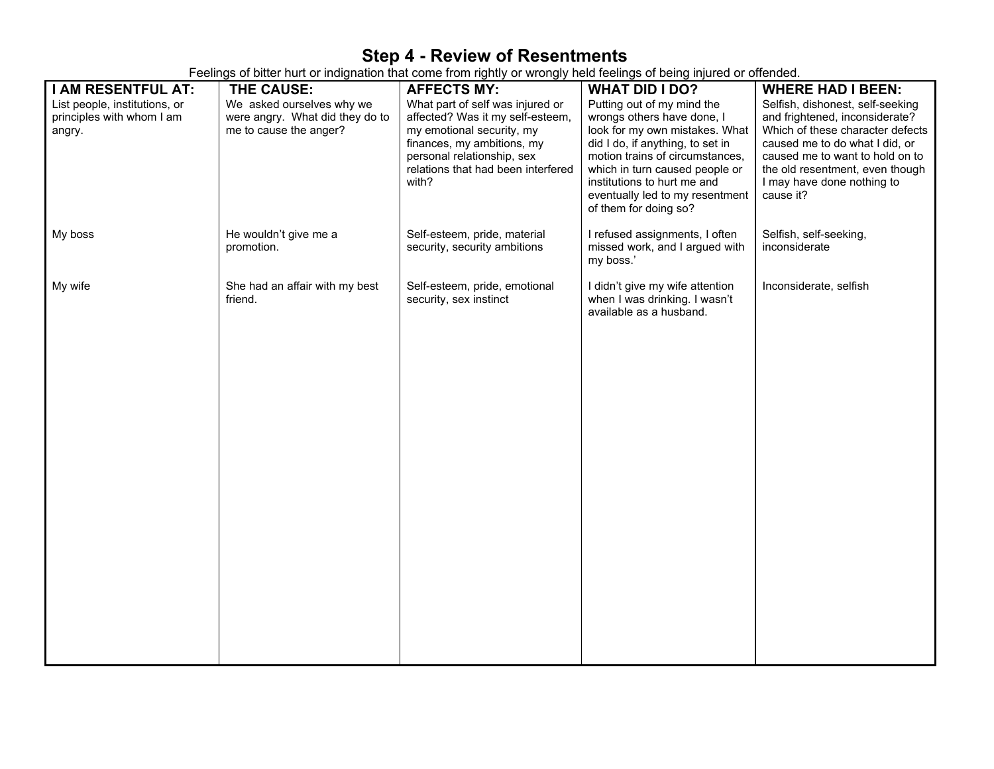## **Step 4 - Review of Resentments**

Feelings of bitter hurt or indignation that come from rightly or wrongly held feelings of being injured or offended.

| I AM RESENTFUL AT:                                                   | THE CAUSE:                                                                             | <b>AFFECTS MY:</b>                                                                                                                                                                                           | <b>WHAT DID I DO?</b>                                                                                                                                                                                                                                                                          | <b>WHERE HAD I BEEN:</b>                                                                                                                                                                                                                                  |
|----------------------------------------------------------------------|----------------------------------------------------------------------------------------|--------------------------------------------------------------------------------------------------------------------------------------------------------------------------------------------------------------|------------------------------------------------------------------------------------------------------------------------------------------------------------------------------------------------------------------------------------------------------------------------------------------------|-----------------------------------------------------------------------------------------------------------------------------------------------------------------------------------------------------------------------------------------------------------|
| List people, institutions, or<br>principles with whom I am<br>angry. | We asked ourselves why we<br>were angry. What did they do to<br>me to cause the anger? | What part of self was injured or<br>affected? Was it my self-esteem,<br>my emotional security, my<br>finances, my ambitions, my<br>personal relationship, sex<br>relations that had been interfered<br>with? | Putting out of my mind the<br>wrongs others have done, I<br>look for my own mistakes. What<br>did I do, if anything, to set in<br>motion trains of circumstances,<br>which in turn caused people or<br>institutions to hurt me and<br>eventually led to my resentment<br>of them for doing so? | Selfish, dishonest, self-seeking<br>and frightened, inconsiderate?<br>Which of these character defects<br>caused me to do what I did, or<br>caused me to want to hold on to<br>the old resentment, even though<br>I may have done nothing to<br>cause it? |
| My boss                                                              | He wouldn't give me a<br>promotion.                                                    | Self-esteem, pride, material<br>security, security ambitions                                                                                                                                                 | I refused assignments, I often<br>missed work, and I argued with<br>my boss.'                                                                                                                                                                                                                  | Selfish, self-seeking,<br>inconsiderate                                                                                                                                                                                                                   |
| My wife                                                              | She had an affair with my best<br>friend.                                              | Self-esteem, pride, emotional<br>security, sex instinct                                                                                                                                                      | I didn't give my wife attention<br>when I was drinking. I wasn't<br>available as a husband.                                                                                                                                                                                                    | Inconsiderate, selfish                                                                                                                                                                                                                                    |
|                                                                      |                                                                                        |                                                                                                                                                                                                              |                                                                                                                                                                                                                                                                                                |                                                                                                                                                                                                                                                           |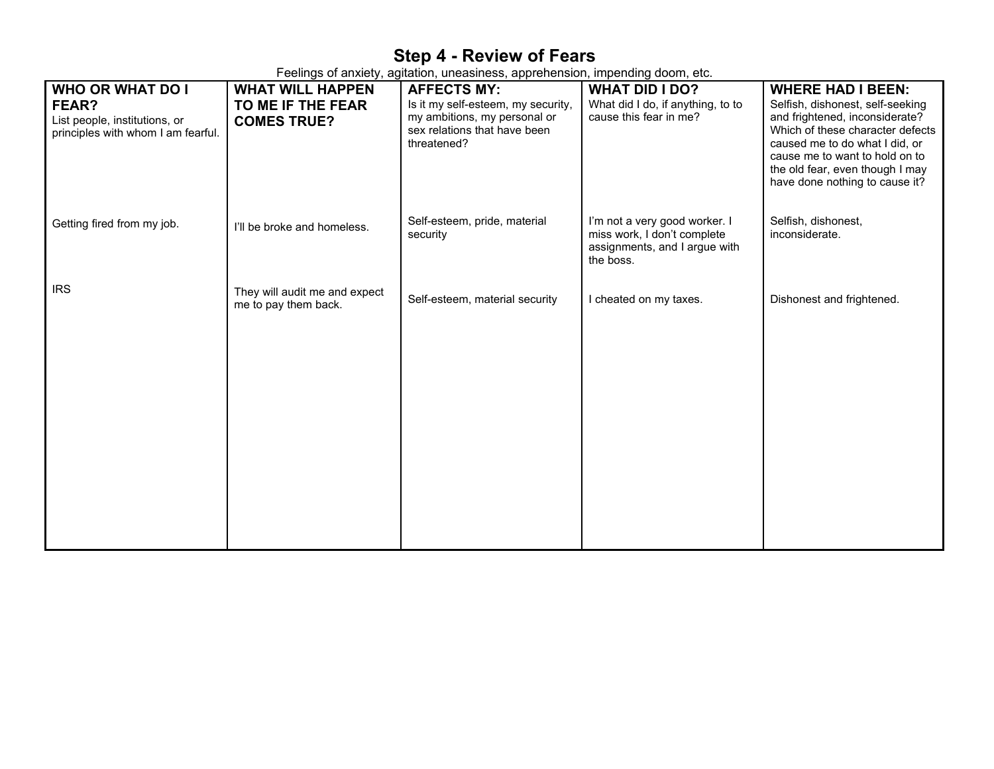## **Step 4 - Review of Fears**

Feelings of anxiety, agitation, uneasiness, apprehension, impending doom, etc.

| <b>WHO OR WHAT DO I</b><br>FEAR?<br>List people, institutions, or<br>principles with whom I am fearful. | <b>WHAT WILL HAPPEN</b><br>TO ME IF THE FEAR<br><b>COMES TRUE?</b> | <b>AFFECTS MY:</b><br>Is it my self-esteem, my security,<br>my ambitions, my personal or<br>sex relations that have been<br>threatened? | <b>WHAT DID I DO?</b><br>What did I do, if anything, to to<br>cause this fear in me?                       | <b>WHERE HAD I BEEN:</b><br>Selfish, dishonest, self-seeking<br>and frightened, inconsiderate?<br>Which of these character defects<br>caused me to do what I did, or<br>cause me to want to hold on to<br>the old fear, even though I may<br>have done nothing to cause it? |
|---------------------------------------------------------------------------------------------------------|--------------------------------------------------------------------|-----------------------------------------------------------------------------------------------------------------------------------------|------------------------------------------------------------------------------------------------------------|-----------------------------------------------------------------------------------------------------------------------------------------------------------------------------------------------------------------------------------------------------------------------------|
| Getting fired from my job.                                                                              | I'll be broke and homeless.                                        | Self-esteem, pride, material<br>security                                                                                                | I'm not a very good worker. I<br>miss work, I don't complete<br>assignments, and I argue with<br>the boss. | Selfish, dishonest,<br>inconsiderate.                                                                                                                                                                                                                                       |
| <b>IRS</b>                                                                                              | They will audit me and expect<br>me to pay them back.              | Self-esteem, material security                                                                                                          | I cheated on my taxes.                                                                                     | Dishonest and frightened.                                                                                                                                                                                                                                                   |
|                                                                                                         |                                                                    |                                                                                                                                         |                                                                                                            |                                                                                                                                                                                                                                                                             |
|                                                                                                         |                                                                    |                                                                                                                                         |                                                                                                            |                                                                                                                                                                                                                                                                             |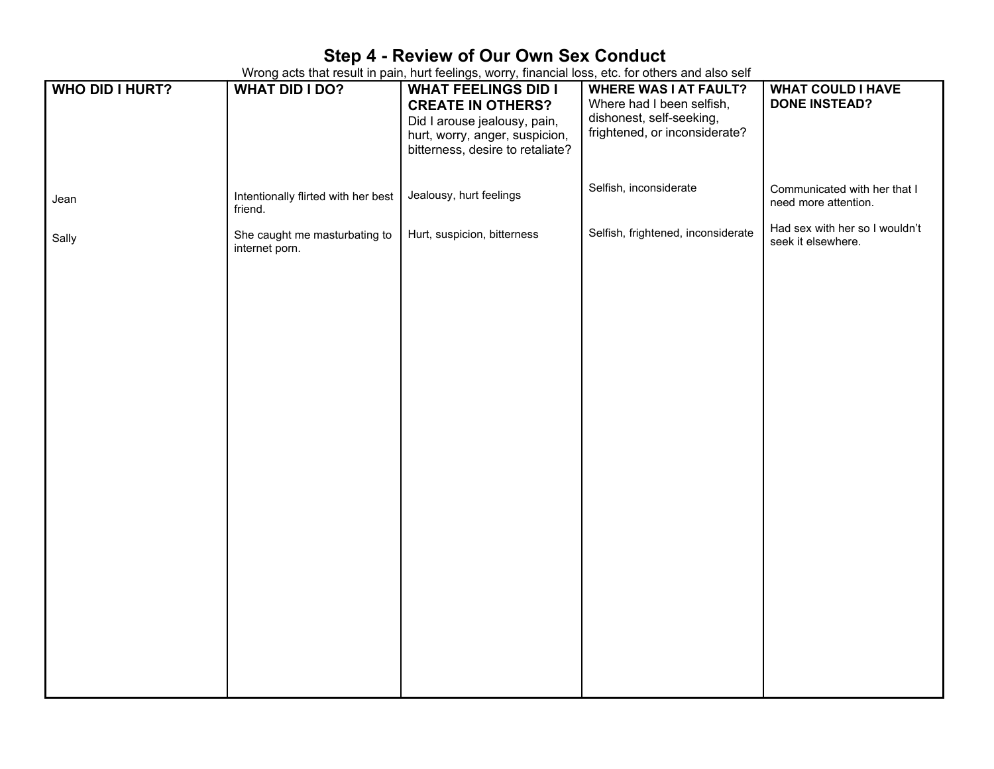## **Step 4 - Review of Our Own Sex Conduct**

Wrong acts that result in pain, hurt feelings, worry, financial loss, etc. for others and also self

| <b>WHO DID I HURT?</b> | <b>WHAT DID I DO?</b>                           | <u>.</u><br><b>WHAT FEELINGS DID I</b>                   | <b>WHERE WAS I AT FAULT?</b><br>Where had I been selfish, | <b>WHAT COULD I HAVE</b><br><b>DONE INSTEAD?</b>     |
|------------------------|-------------------------------------------------|----------------------------------------------------------|-----------------------------------------------------------|------------------------------------------------------|
|                        |                                                 | <b>CREATE IN OTHERS?</b><br>Did I arouse jealousy, pain, | dishonest, self-seeking,                                  |                                                      |
|                        |                                                 | hurt, worry, anger, suspicion,                           | frightened, or inconsiderate?                             |                                                      |
|                        |                                                 | bitterness, desire to retaliate?                         |                                                           |                                                      |
|                        |                                                 |                                                          | Selfish, inconsiderate                                    | Communicated with her that I                         |
| Jean                   | Intentionally flirted with her best<br>friend.  | Jealousy, hurt feelings                                  |                                                           | need more attention.                                 |
| Sally                  | She caught me masturbating to<br>internet porn. | Hurt, suspicion, bitterness                              | Selfish, frightened, inconsiderate                        | Had sex with her so I wouldn't<br>seek it elsewhere. |
|                        |                                                 |                                                          |                                                           |                                                      |
|                        |                                                 |                                                          |                                                           |                                                      |
|                        |                                                 |                                                          |                                                           |                                                      |
|                        |                                                 |                                                          |                                                           |                                                      |
|                        |                                                 |                                                          |                                                           |                                                      |
|                        |                                                 |                                                          |                                                           |                                                      |
|                        |                                                 |                                                          |                                                           |                                                      |
|                        |                                                 |                                                          |                                                           |                                                      |
|                        |                                                 |                                                          |                                                           |                                                      |
|                        |                                                 |                                                          |                                                           |                                                      |
|                        |                                                 |                                                          |                                                           |                                                      |
|                        |                                                 |                                                          |                                                           |                                                      |
|                        |                                                 |                                                          |                                                           |                                                      |
|                        |                                                 |                                                          |                                                           |                                                      |
|                        |                                                 |                                                          |                                                           |                                                      |
|                        |                                                 |                                                          |                                                           |                                                      |
|                        |                                                 |                                                          |                                                           |                                                      |